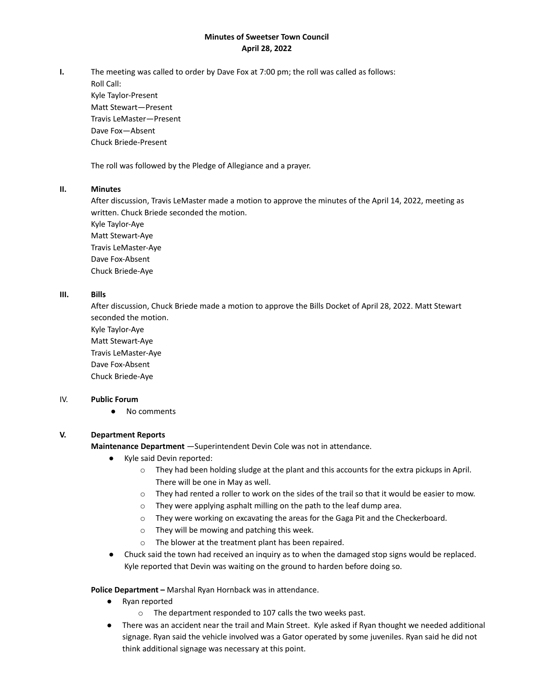# **Minutes of Sweetser Town Council April 28, 2022**

**I.** The meeting was called to order by Dave Fox at 7:00 pm; the roll was called as follows:

Roll Call: Kyle Taylor-Present Matt Stewart—Present Travis LeMaster—Present Dave Fox—Absent Chuck Briede-Present

The roll was followed by the Pledge of Allegiance and a prayer.

## **II. Minutes**

After discussion, Travis LeMaster made a motion to approve the minutes of the April 14, 2022, meeting as written. Chuck Briede seconded the motion.

Kyle Taylor-Aye Matt Stewart-Aye Travis LeMaster-Aye Dave Fox-Absent Chuck Briede-Aye

# **III. Bills**

After discussion, Chuck Briede made a motion to approve the Bills Docket of April 28, 2022. Matt Stewart seconded the motion.

Kyle Taylor-Aye Matt Stewart-Aye Travis LeMaster-Aye Dave Fox-Absent Chuck Briede-Aye

## IV. **Public Forum**

● No comments

# **V. Department Reports**

**Maintenance Department** —Superintendent Devin Cole was not in attendance.

- Kyle said Devin reported:
	- o They had been holding sludge at the plant and this accounts for the extra pickups in April. There will be one in May as well.
	- o They had rented a roller to work on the sides of the trail so that it would be easier to mow.
	- o They were applying asphalt milling on the path to the leaf dump area.
	- o They were working on excavating the areas for the Gaga Pit and the Checkerboard.
	- o They will be mowing and patching this week.
	- o The blower at the treatment plant has been repaired.
- Chuck said the town had received an inquiry as to when the damaged stop signs would be replaced. Kyle reported that Devin was waiting on the ground to harden before doing so.

## **Police Department –** Marshal Ryan Hornback was in attendance.

- Ryan reported
	- o The department responded to 107 calls the two weeks past.
- There was an accident near the trail and Main Street. Kyle asked if Ryan thought we needed additional signage. Ryan said the vehicle involved was a Gator operated by some juveniles. Ryan said he did not think additional signage was necessary at this point.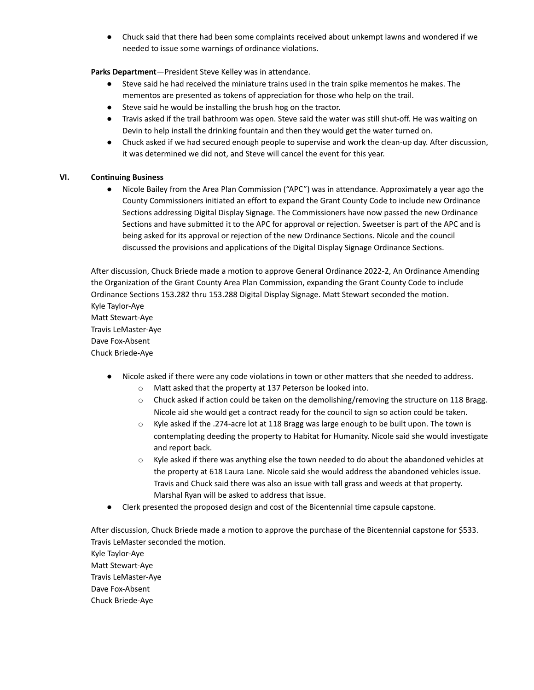● Chuck said that there had been some complaints received about unkempt lawns and wondered if we needed to issue some warnings of ordinance violations.

**Parks Department**—President Steve Kelley was in attendance.

- Steve said he had received the miniature trains used in the train spike mementos he makes. The mementos are presented as tokens of appreciation for those who help on the trail.
- Steve said he would be installing the brush hog on the tractor.
- Travis asked if the trail bathroom was open. Steve said the water was still shut-off. He was waiting on Devin to help install the drinking fountain and then they would get the water turned on.
- Chuck asked if we had secured enough people to supervise and work the clean-up day. After discussion, it was determined we did not, and Steve will cancel the event for this year.

# **VI. Continuing Business**

● Nicole Bailey from the Area Plan Commission ("APC") was in attendance. Approximately a year ago the County Commissioners initiated an effort to expand the Grant County Code to include new Ordinance Sections addressing Digital Display Signage. The Commissioners have now passed the new Ordinance Sections and have submitted it to the APC for approval or rejection. Sweetser is part of the APC and is being asked for its approval or rejection of the new Ordinance Sections. Nicole and the council discussed the provisions and applications of the Digital Display Signage Ordinance Sections.

After discussion, Chuck Briede made a motion to approve General Ordinance 2022-2, An Ordinance Amending the Organization of the Grant County Area Plan Commission, expanding the Grant County Code to include Ordinance Sections 153.282 thru 153.288 Digital Display Signage. Matt Stewart seconded the motion. Kyle Taylor-Aye Matt Stewart-Aye Travis LeMaster-Aye Dave Fox-Absent Chuck Briede-Aye

- Nicole asked if there were any code violations in town or other matters that she needed to address.
	- o Matt asked that the property at 137 Peterson be looked into.
	- $\circ$  Chuck asked if action could be taken on the demolishing/removing the structure on 118 Bragg. Nicole aid she would get a contract ready for the council to sign so action could be taken.
	- o Kyle asked if the .274-acre lot at 118 Bragg was large enough to be built upon. The town is contemplating deeding the property to Habitat for Humanity. Nicole said she would investigate and report back.
	- $\circ$  Kyle asked if there was anything else the town needed to do about the abandoned vehicles at the property at 618 Laura Lane. Nicole said she would address the abandoned vehicles issue. Travis and Chuck said there was also an issue with tall grass and weeds at that property. Marshal Ryan will be asked to address that issue.
- Clerk presented the proposed design and cost of the Bicentennial time capsule capstone.

After discussion, Chuck Briede made a motion to approve the purchase of the Bicentennial capstone for \$533. Travis LeMaster seconded the motion. Kyle Taylor-Aye Matt Stewart-Aye Travis LeMaster-Aye Dave Fox-Absent Chuck Briede-Aye